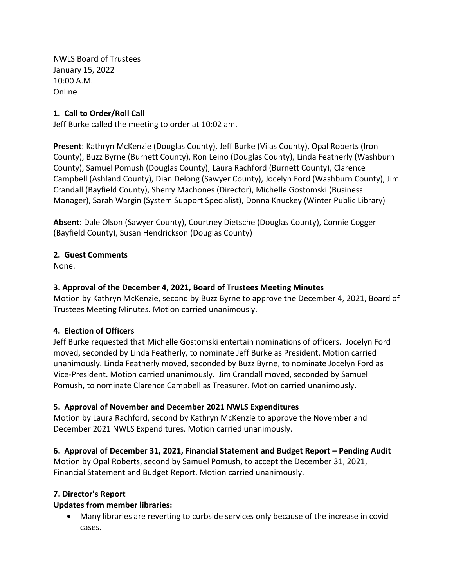NWLS Board of Trustees January 15, 2022 10:00 A.M. Online

#### **1. Call to Order/Roll Call**

Jeff Burke called the meeting to order at 10:02 am.

**Present**: Kathryn McKenzie (Douglas County), Jeff Burke (Vilas County), Opal Roberts (Iron County), Buzz Byrne (Burnett County), Ron Leino (Douglas County), Linda Featherly (Washburn County), Samuel Pomush (Douglas County), Laura Rachford (Burnett County), Clarence Campbell (Ashland County), Dian Delong (Sawyer County), Jocelyn Ford (Washburn County), Jim Crandall (Bayfield County), Sherry Machones (Director), Michelle Gostomski (Business Manager), Sarah Wargin (System Support Specialist), Donna Knuckey (Winter Public Library)

**Absent**: Dale Olson (Sawyer County), Courtney Dietsche (Douglas County), Connie Cogger (Bayfield County), Susan Hendrickson (Douglas County)

### **2. Guest Comments**

None.

### **3. Approval of the December 4, 2021, Board of Trustees Meeting Minutes**

Motion by Kathryn McKenzie, second by Buzz Byrne to approve the December 4, 2021, Board of Trustees Meeting Minutes. Motion carried unanimously.

#### **4. Election of Officers**

Jeff Burke requested that Michelle Gostomski entertain nominations of officers. Jocelyn Ford moved, seconded by Linda Featherly, to nominate Jeff Burke as President. Motion carried unanimously. Linda Featherly moved, seconded by Buzz Byrne, to nominate Jocelyn Ford as Vice-President. Motion carried unanimously. Jim Crandall moved, seconded by Samuel Pomush, to nominate Clarence Campbell as Treasurer. Motion carried unanimously.

#### **5. Approval of November and December 2021 NWLS Expenditures**

Motion by Laura Rachford, second by Kathryn McKenzie to approve the November and December 2021 NWLS Expenditures. Motion carried unanimously.

### **6. Approval of December 31, 2021, Financial Statement and Budget Report – Pending Audit**

Motion by Opal Roberts, second by Samuel Pomush, to accept the December 31, 2021, Financial Statement and Budget Report. Motion carried unanimously.

#### **7. Director's Report**

#### **Updates from member libraries:**

• Many libraries are reverting to curbside services only because of the increase in covid cases.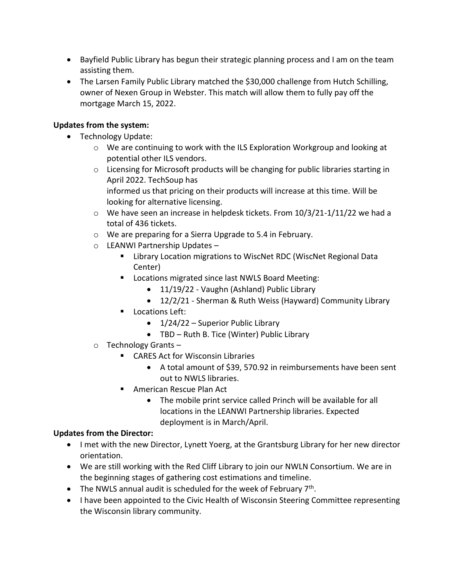- Bayfield Public Library has begun their strategic planning process and I am on the team assisting them.
- The Larsen Family Public Library matched the \$30,000 challenge from Hutch Schilling, owner of Nexen Group in Webster. This match will allow them to fully pay off the mortgage March 15, 2022.

# **Updates from the system:**

- Technology Update:
	- o We are continuing to work with the ILS Exploration Workgroup and looking at potential other ILS vendors.
	- o Licensing for Microsoft products will be changing for public libraries starting in April 2022. TechSoup has informed us that pricing on their products will increase at this time. Will be looking for alternative licensing.
	- $\circ$  We have seen an increase in helpdesk tickets. From 10/3/21-1/11/22 we had a total of 436 tickets.
	- o We are preparing for a Sierra Upgrade to 5.4 in February.
	- o LEANWI Partnership Updates
		- Library Location migrations to WiscNet RDC (WiscNet Regional Data Center)
		- Locations migrated since last NWLS Board Meeting:
			- 11/19/22 Vaughn (Ashland) Public Library
			- 12/2/21 Sherman & Ruth Weiss (Hayward) Community Library
		- Locations Left:
			- 1/24/22 Superior Public Library
			- TBD Ruth B. Tice (Winter) Public Library
	- o Technology Grants
		- CARES Act for Wisconsin Libraries
			- A total amount of \$39, 570.92 in reimbursements have been sent out to NWLS libraries.
		- American Rescue Plan Act
			- The mobile print service called Princh will be available for all locations in the LEANWI Partnership libraries. Expected deployment is in March/April.

# **Updates from the Director:**

- I met with the new Director, Lynett Yoerg, at the Grantsburg Library for her new director orientation.
- We are still working with the Red Cliff Library to join our NWLN Consortium. We are in the beginning stages of gathering cost estimations and timeline.
- The NWLS annual audit is scheduled for the week of February 7<sup>th</sup>.
- I have been appointed to the Civic Health of Wisconsin Steering Committee representing the Wisconsin library community.